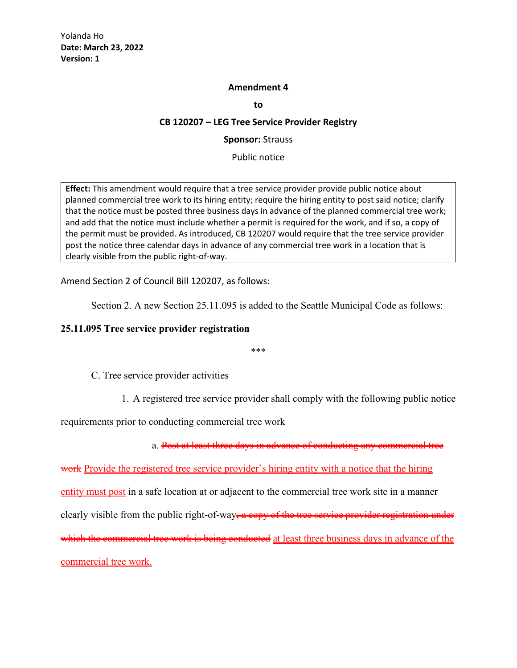#### **Amendment 4**

**to**

#### **CB 120207 – LEG Tree Service Provider Registry**

**Sponsor:** Strauss

Public notice

**Effect:** This amendment would require that a tree service provider provide public notice about planned commercial tree work to its hiring entity; require the hiring entity to post said notice; clarify that the notice must be posted three business days in advance of the planned commercial tree work; and add that the notice must include whether a permit is required for the work, and if so, a copy of the permit must be provided. As introduced, CB 120207 would require that the tree service provider post the notice three calendar days in advance of any commercial tree work in a location that is clearly visible from the public right-of-way.

Amend Section 2 of Council Bill 120207, as follows:

Section 2. A new Section 25.11.095 is added to the Seattle Municipal Code as follows:

## **25.11.095 Tree service provider registration**

\*\*\*

C. Tree service provider activities

1. A registered tree service provider shall comply with the following public notice

requirements prior to conducting commercial tree work

a. Post at least three days in advance of conducting any commercial tree

work Provide the registered tree service provider's hiring entity with a notice that the hiring entity must post in a safe location at or adjacent to the commercial tree work site in a manner clearly visible from the public right-of-way<del>, a copy of the tree service provider registration under</del> which the commercial tree work is being conducted at least three business days in advance of the commercial tree work.